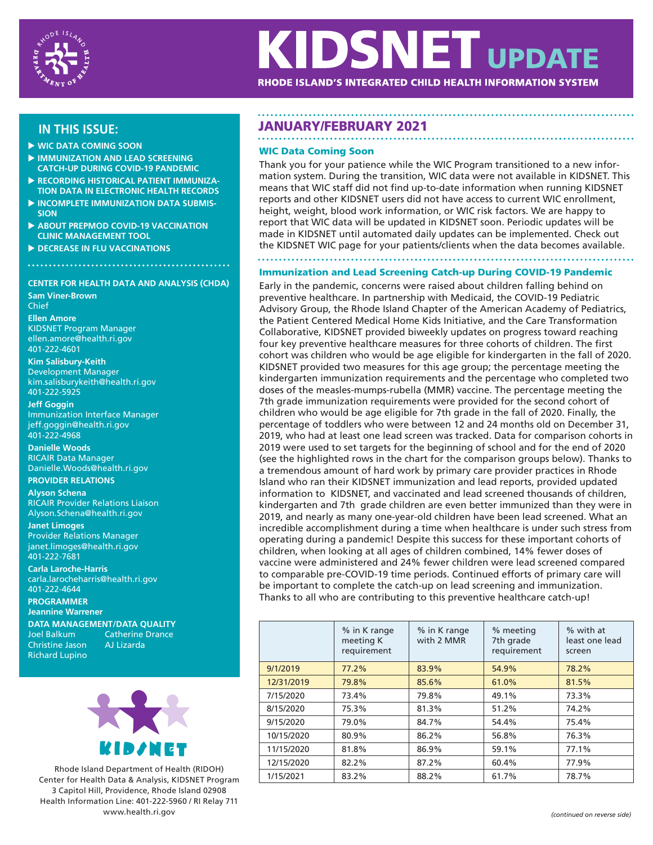

# **IDSNET UPDATE** RHODE ISLAND'S INTEGRATED CHILD HEALTH INFORMATION SYSTEM

- **WIC DATA COMING SOON**
- **IMMUNIZATION AND LEAD SCREENING CATCH-UP DURING COVID-19 PANDEMIC**
- **RECORDING HISTORICAL PATIENT IMMUNIZA-TION DATA IN ELECTRONIC HEALTH RECORDS**
- **INCOMPLETE IMMUNIZATION DATA SUBMIS-SION**
- **ABOUT PREPMOD COVID-19 VACCINATION CLINIC MANAGEMENT TOOL**
- **DECREASE IN FLU VACCINATIONS**

## **CENTER FOR HEALTH DATA AND ANALYSIS (CHDA)**

**Sam Viner-Brown** Chief

**Ellen Amore** KIDSNET Program Manager ellen.amore@health.ri.gov 401-222-4601

## **Kim Salisbury-Keith**

Development Manager kim.salisburykeith@health.ri.gov 401-222-5925

## **Jeff Goggin**

Immunization Interface Manager jeff.goggin@health.ri.gov 401-222-4968

**Danielle Woods**  RICAIR Data Manager Danielle.Woods@health.ri.gov **PROVIDER RELATIONS**

## **Alyson Schena**

RICAIR Provider Relations Liaison Alyson.Schena@health.ri.gov

## **Janet Limoges**

Provider Relations Manager janet.limoges@health.ri.gov 401-222-7681

**Carla Laroche-Harris** carla.larocheharris@health.ri.gov 401-222-4644

**PROGRAMMER Jeannine Warrener DATA MANAGEMENT/DATA QUALITY**

Christine Jason Richard Lupino

Catherine Drance<br>AJ Lizarda



Rhode Island Department of Health (RIDOH) Center for Health Data & Analysis, KIDSNET Program 3 Capitol Hill, Providence, Rhode Island 02908 Health Information Line: 401-222-5960 / RI Relay 711 www.health.ri.gov *(continued on reverse side)*

## **IN THIS ISSUE:** JANUARY/FEBRUARY 2021

## WIC Data Coming Soon

Thank you for your patience while the WIC Program transitioned to a new information system. During the transition, WIC data were not available in KIDSNET. This means that WIC staff did not find up-to-date information when running KIDSNET reports and other KIDSNET users did not have access to current WIC enrollment, height, weight, blood work information, or WIC risk factors. We are happy to report that WIC data will be updated in KIDSNET soon. Periodic updates will be made in KIDSNET until automated daily updates can be implemented. Check out the KIDSNET WIC page for your patients/clients when the data becomes available.

## Immunization and Lead Screening Catch-up During COVID-19 Pandemic

Early in the pandemic, concerns were raised about children falling behind on preventive healthcare. In partnership with Medicaid, the COVID-19 Pediatric Advisory Group, the Rhode Island Chapter of the American Academy of Pediatrics, the Patient Centered Medical Home Kids Initiative, and the Care Transformation Collaborative, KIDSNET provided biweekly updates on progress toward reaching four key preventive healthcare measures for three cohorts of children. The first cohort was children who would be age eligible for kindergarten in the fall of 2020. KIDSNET provided two measures for this age group; the percentage meeting the kindergarten immunization requirements and the percentage who completed two doses of the measles-mumps-rubella (MMR) vaccine. The percentage meeting the 7th grade immunization requirements were provided for the second cohort of children who would be age eligible for 7th grade in the fall of 2020. Finally, the percentage of toddlers who were between 12 and 24 months old on December 31, 2019, who had at least one lead screen was tracked. Data for comparison cohorts in 2019 were used to set targets for the beginning of school and for the end of 2020 (see the highlighted rows in the chart for the comparison groups below). Thanks to a tremendous amount of hard work by primary care provider practices in Rhode Island who ran their KIDSNET immunization and lead reports, provided updated information to KIDSNET, and vaccinated and lead screened thousands of children, kindergarten and 7th grade children are even better immunized than they were in 2019, and nearly as many one-year-old children have been lead screened. What an incredible accomplishment during a time when healthcare is under such stress from operating during a pandemic! Despite this success for these important cohorts of children, when looking at all ages of children combined, 14% fewer doses of vaccine were administered and 24% fewer children were lead screened compared to comparable pre-COVID-19 time periods. Continued efforts of primary care will be important to complete the catch-up on lead screening and immunization. Thanks to all who are contributing to this preventive healthcare catch-up!

|            | % in K range<br>meeting K<br>requirement | % in K range<br>with 2 MMR | % meeting<br>7th grade<br>requirement | % with at<br>least one lead<br>screen |
|------------|------------------------------------------|----------------------------|---------------------------------------|---------------------------------------|
| 9/1/2019   | 77.2%                                    | 83.9%                      | 54.9%                                 | 78.2%                                 |
| 12/31/2019 | 79.8%                                    | 85.6%                      | 61.0%                                 | 81.5%                                 |
| 7/15/2020  | 73.4%                                    | 79.8%                      | 49.1%                                 | 73.3%                                 |
| 8/15/2020  | 75.3%                                    | 81.3%                      | 51.2%                                 | 74.2%                                 |
| 9/15/2020  | 79.0%                                    | 84.7%                      | 54.4%                                 | 75.4%                                 |
| 10/15/2020 | 80.9%                                    | 86.2%                      | 56.8%                                 | 76.3%                                 |
| 11/15/2020 | 81.8%                                    | 86.9%                      | 59.1%                                 | 77.1%                                 |
| 12/15/2020 | 82.2%                                    | 87.2%                      | 60.4%                                 | 77.9%                                 |
| 1/15/2021  | 83.2%                                    | 88.2%                      | 61.7%                                 | 78.7%                                 |